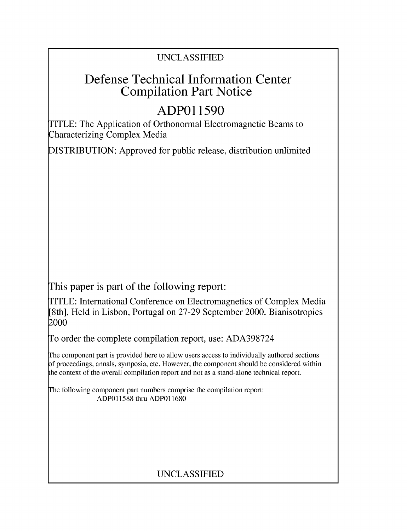## UNCLASSIFIED

# Defense Technical Information Center Compilation Part Notice

# **ADPO 11590**

TITLE: The Application of Orthonormal Electromagnetic Beams to Characterizing Complex Media

DISTRIBUTION: Approved for public release, distribution unlimited

This paper is part of the following report:

TITLE: International Conference on Electromagnetics of Complex Media [8th], Held in Lisbon, Portugal on 27-29 September 2000. Bianisotropics 2000

To order the complete compilation report, use: ADA398724

The component part is provided here to allow users access to individually authored sections f proceedings, annals, symposia, etc. However, the component should be considered within [he context of the overall compilation report and not as a stand-alone technical report.

The following component part numbers comprise the compilation report: ADP011588 thru ADP011680

## UNCLASSIFIED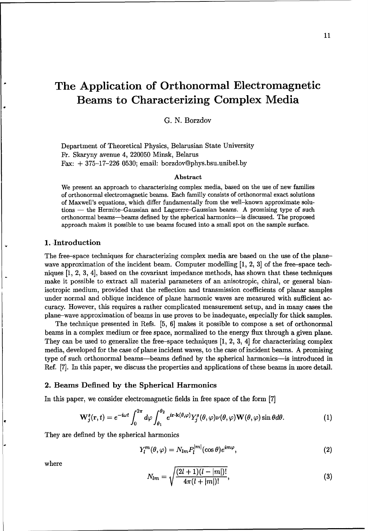11

## The Application of Orthonormal Electromagnetic Beams to Characterizing Complex Media

G. N. Borzdov

Department of Theoretical Physics, Belarusian State University Fr. Skaryny avenue 4, 220050 Minsk, Belarus Fax:  $+375-17-226$  0530; email: borzdov@phys.bsu.unibel.by

#### Abstract

We present an approach to characterizing complex media, based on the use of new families of orthonormal electromagnetic beams. Each familly consists of orthonormal exact solutions of Maxwell's equations, which differ fundamentally from the well-known approximate solutions - the Hermite-Gaussian and Laguerre-Gaussian beams. A promising type of such orthonormal beams-beams defined by the spherical harmonics-is discussed. The proposed approach makes it possible to use beams focused into a small spot on the sample surface.

#### 1. Introduction

The free-space techniques for characterizing complex media are based on the use of the planewave approximation of the incident beam. Computer modelling [1, 2, 3] of the free-space techniques [1, 2, 3, 4], based on the covariant impedance methods, has shown that these techniques make it possible to extract all material parameters of an anisotropic, chiral, or general bianisotropic medium, provided that the reflection and transmission coefficients of planar samples under normal and oblique incidence of plane harmonic waves are measured with sufficient accuracy. However, this requires a rather complicated measurement setup, and in many cases the plane-wave approximation of beams in use proves to be inadequate, especially for thick samples.

The technique presented in Refs. [5, 6] makes it possible to compose a set of orthonormal beams in a complex medium or free space, normalized to the energy flux through a given plane. They can be used to generalize the free-space techniques  $[1, 2, 3, 4]$  for characterizing complex media, developed for the case of plane incident waves, to the case of incident beams. A promising type of such orthonormal beams-beams defined by the spherical harmonics-is introduced in Ref. [7]. In this paper, we discuss the properties and applications of these beams in more detail.

#### 2. Beams Defined by the Spherical Harmonics

In this paper, we consider electromagnetic fields in free space of the form [7]

$$
\mathbf{W}_{j}^{s}(\mathbf{r},t)=e^{-i\omega t}\int_{0}^{2\pi}d\varphi\int_{\theta_{1}}^{\theta_{2}}e^{i\mathbf{r}\cdot\mathbf{k}(\theta,\varphi)}Y_{j}^{s}(\theta,\varphi)\nu(\theta,\varphi)\mathbf{W}(\theta,\varphi)\sin\theta d\theta.
$$
 (1)

They are defined by the spherical harmonics

$$
Y_l^m(\theta,\varphi) = N_{lm} P_l^{|m|}(\cos\theta)e^{im\varphi},\qquad(2)
$$

where  

$$
N_{lm} = \sqrt{\frac{(2l+1)(l-|m|)!}{4\pi(l+|m|)!}},
$$
(3)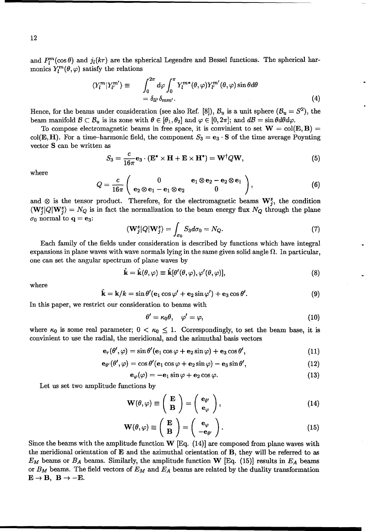and  $P_l^m(\cos\theta)$  and  $j_l(kr)$  are the spherical Legendre and Bessel functions. The spherical harmonics  $Y_l^m(\theta, \varphi)$  satisfy the relations

$$
\langle Y_l^m | Y_{l'}^{m'} \rangle \equiv \int_0^{2\pi} d\varphi \int_0^{\pi} Y_l^{m*}(\theta, \varphi) Y_{l'}^{m'}(\theta, \varphi) \sin \theta d\theta
$$
  
=  $\delta_{ll'} \delta_{mm'}$ . (4)

Hence, for the beams under consideration (see also Ref. [8]),  $B_u$  is a unit sphere  $(B_u = S^2)$ , the beam manifold  $\mathcal{B} \subset \mathcal{B}_u$  is its zone with  $\theta \in [\theta_1, \theta_2]$  and  $\varphi \in [0, 2\pi]$ ; and  $d\mathcal{B} = \sin \theta d\theta d\varphi$ .

To compose electromagnetic beams in free space, it is convinient to set  $W = col(E, B)$ col(**E**, **H**). For a time-harmonic field, the component  $S_3 = e_3 \cdot S$  of the time average Poynting vector **S** can be written as

$$
S_3 = \frac{c}{16\pi} \mathbf{e}_3 \cdot (\mathbf{E}^* \times \mathbf{H} + \mathbf{E} \times \mathbf{H}^*) = \mathbf{W}^\dagger Q \mathbf{W},\tag{5}
$$

where

$$
Q = \frac{c}{16\pi} \left( \begin{array}{cc} 0 & \mathbf{e}_1 \otimes \mathbf{e}_2 - \mathbf{e}_2 \otimes \mathbf{e}_1 \\ \mathbf{e}_2 \otimes \mathbf{e}_1 - \mathbf{e}_1 \otimes \mathbf{e}_2 & 0 \end{array} \right), \tag{6}
$$

and  $\otimes$  is the tensor product. Therefore, for the electromagnetic beams  $\mathbf{W}_j^s$ , the condition  $\langle W_j^s | Q | W_j^s \rangle = N_Q$  is in fact the normalization to the beam energy flux  $N_Q$  through the plane  $\sigma_0$  normal to  $\mathbf{q} = \mathbf{e}_3$ :

$$
\langle \mathbf{W}_{j}^{s} | Q | \mathbf{W}_{j}^{s} \rangle = \int_{\sigma_{0}} S_{3} d\sigma_{0} = N_{Q}.
$$
 (7)

Each family of the fields under consideration is described by functions which have integral expansions in plane waves with wave normals lying in the same given solid angle **Q.** In particular, one can set the angular spectrum of plane waves by

$$
\hat{\mathbf{k}} = \hat{\mathbf{k}}(\theta, \varphi) \equiv \hat{\mathbf{k}}[\theta'(\theta, \varphi), \varphi'(\theta, \varphi)],\tag{8}
$$

where

$$
\hat{\mathbf{k}} = \mathbf{k}/k = \sin \theta' (\mathbf{e}_1 \cos \varphi' + \mathbf{e}_2 \sin \varphi') + \mathbf{e}_3 \cos \theta'.
$$
 (9)

In this paper, we restrict our consideration to beams with

$$
\theta' = \kappa_0 \theta, \quad \varphi' = \varphi, \tag{10}
$$

where  $\kappa_0$  is some real parameter;  $0 < \kappa_0 \leq 1$ . Correspondingly, to set the beam base, it is convinient to use the radial, the meridional, and the azimuthal basis vectors

$$
\mathbf{e}_r(\theta',\varphi)=\sin\theta'(\mathbf{e}_1\cos\varphi+\mathbf{e}_2\sin\varphi)+\mathbf{e}_3\cos\theta',\qquad(11)
$$

$$
\mathbf{e}_{\theta'}(\theta',\varphi)=\cos\theta'(\mathbf{e}_1\cos\varphi+\mathbf{e}_2\sin\varphi)-\mathbf{e}_3\sin\theta',\qquad(12)
$$

$$
\mathbf{e}_{\varphi}(\varphi) = -\mathbf{e}_1 \sin \varphi + \mathbf{e}_2 \cos \varphi. \tag{13}
$$

Let us set two amplitude functions by

$$
\mathbf{W}(\theta,\varphi) \equiv \left(\begin{array}{c}\mathbf{E}\\ \mathbf{B}\end{array}\right) = \left(\begin{array}{c}\mathbf{e}_{\theta'}\\ \mathbf{e}_{\varphi}\end{array}\right),\tag{14}
$$

$$
\mathbf{W}(\theta,\varphi) \equiv \left(\begin{array}{c} \mathbf{E} \\ \mathbf{B} \end{array}\right) = \left(\begin{array}{c} \mathbf{e}_{\varphi} \\ -\mathbf{e}_{\theta'} \end{array}\right). \tag{15}
$$

Since the beams with the amplitude function  $W$  [Eq. (14)] are composed from plane waves with the meridional orientation of E and the azimuthal orientation of B, they will be referred to as  $E_M$  beams or  $B_A$  beams. Similarly, the amplitude function W [Eq. (15)] results in  $E_A$  beams or  $B_M$  beams. The field vectors of  $E_M$  and  $E_A$  beams are related by the duality transformation  $E \rightarrow B$ ,  $B \rightarrow -E$ .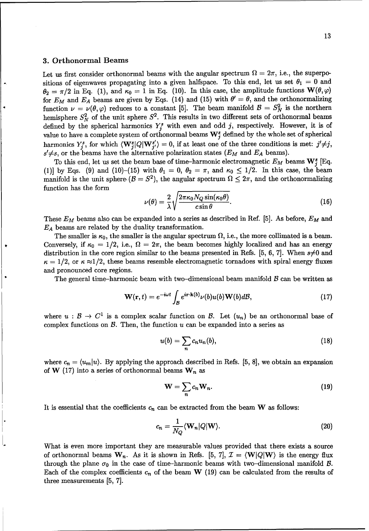#### **3.** Orthonormal Beams

Let us first consider orthonormal beams with the angular spectrum  $\Omega = 2\pi$ , i.e., the superpositions of eigenwaves propagating into a given halfspace. To this end, let us set  $\theta_1 = 0$  and  $\theta_2 = \pi/2$  in Eq. (1), and  $\kappa_0 = 1$  in Eq. (10). In this case, the amplitude functions  $\mathbf{W}(\theta, \varphi)$ for  $E_M$  and  $E_A$  beams are given by Eqs. (14) and (15) with  $\theta' = \theta$ , and the orthonormalizing function  $\nu = \nu(\theta, \varphi)$  reduces to a constant [5]. The beam manifold  $\mathcal{B} = S_N^2$  is the northern hemisphere  $S_N^2$  of the unit sphere  $S^2$ . This results in two different sets of orthonormal beams defined by the spherical harmonics  $Y_i^s$  with even and odd j, respectively. However, it is of value to have a complete system of orthonormal beams  $\mathbf{W}_{j}^{s}$  defined by the whole set of spherical harmonics  $Y_j^s$ , for which  $\langle \mathbf{W}_j^s | Q | \mathbf{W}_{j'}^{s'} \rangle = 0$ , if at least one of the three conditions is met:  $j' \neq j$ ,  $s' \neq s$ , or the beams have the alternative polarization states  $(E_M$  and  $E_A$  beams).

To this end, let us set the beam base of time-harmonic electromagnetic  $E_M$  beams  $\mathbf{W}_i^s$  [Eq. (1)] by Eqs. (9) and (10)-(15) with  $\theta_1 = 0$ ,  $\theta_2 = \pi$ , and  $\kappa_0 \leq 1/2$ . In this case, the beam manifold is the unit sphere  $(B = S^2)$ , the angular spectrum  $\Omega \leq 2\pi$ , and the orthonormalizing function has the form

$$
\nu(\theta) = \frac{2}{\lambda} \sqrt{\frac{2\pi\kappa_0 N_Q \sin(\kappa_0 \theta)}{c \sin \theta}}.
$$
\n(16)

These  $E_M$  beams also can be expanded into a series as described in Ref. [5]. As before,  $E_M$  and  $E_A$  beams are related by the duality transformation.

The smaller is  $\kappa_0$ , the smaller is the angular spectrum  $\Omega$ , i.e., the more collimated is a beam. Conversely, if  $\kappa_0 = 1/2$ , i.e.,  $\Omega = 2\pi$ , the beam becomes highly localized and has an energy distribution in the core region similar to the beams presented in Refs. [5, 6, 7]. When  $s \neq 0$  and  $\kappa = 1/2$ , or  $\kappa \approx 1/2$ , these beams resemble electromagnetic tornadoes with spiral energy fluxes and pronounced core regions.

The general time-harmonic beam with two-dimensional beam manifold  $\beta$  can be written as

$$
\mathbf{W}(\mathbf{r},t) = e^{-i\omega t} \int_{\mathcal{B}} e^{i\mathbf{r}\cdot\mathbf{k}(b)} \nu(b)u(b)\mathbf{W}(b)dB,
$$
\n(17)

where  $u : \mathcal{B} \to C^1$  is a complex scalar function on  $\mathcal{B}$ . Let  $(u_n)$  be an orthonormal base of complex functions on  $\beta$ . Then, the function  $u$  can be expanded into a series as

$$
u(b) = \sum_{n} c_n u_n(b), \qquad (18)
$$

where  $c_n = \langle u_m | u \rangle$ . By applying the approach described in Refs. [5, 8], we obtain an expansion of W (17) into a series of orthonormal beams  $W_n$  as

$$
\mathbf{W} = \sum_{n} c_n \mathbf{W}_n. \tag{19}
$$

It is essential that the coefficients  $c_n$  can be extracted from the beam W as follows:

$$
c_n = \frac{1}{N_Q} \langle \mathbf{W}_n | Q | \mathbf{W} \rangle.
$$
 (20)

What is even more important they are measurable values provided that there exists a source of orthonormal beams  $W_n$ . As it is shown in Refs. [5, 7],  $\mathcal{I} = \langle W|Q|W\rangle$  is the energy flux through the plane  $\sigma_0$  in the case of time-harmonic beams with two-dimensional manifold  $\beta$ . Each of the complex coefficients  $c_n$  of the beam W (19) can be calculated from the results of three measurements [5, 7].